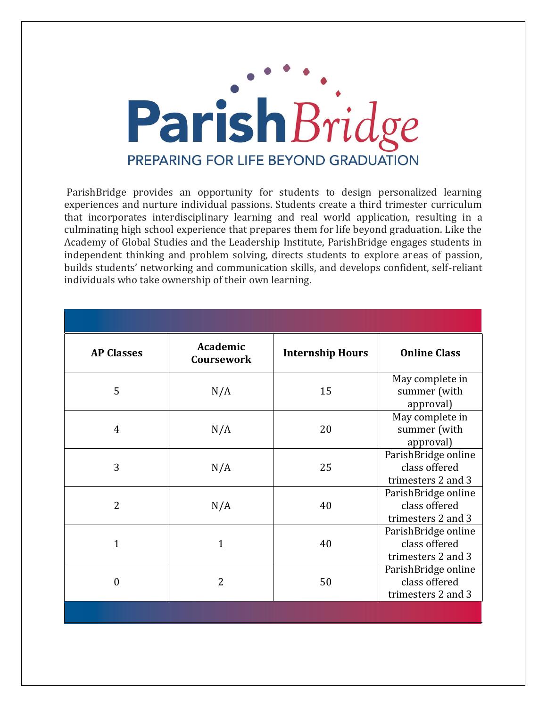

ParishBridge provides an opportunity for students to design personalized learning experiences and nurture individual passions. Students create a third trimester curriculum that incorporates interdisciplinary learning and real world application, resulting in a culminating high school experience that prepares them for life beyond graduation. Like the Academy of Global Studies and the Leadership Institute, ParishBridge engages students in independent thinking and problem solving, directs students to explore areas of passion, builds students' networking and communication skills, and develops confident, self-reliant individuals who take ownership of their own learning.

| <b>AP Classes</b> | Academic<br><b>Coursework</b> | <b>Internship Hours</b> | <b>Online Class</b>                                        |
|-------------------|-------------------------------|-------------------------|------------------------------------------------------------|
| 5                 | N/A                           | 15                      | May complete in<br>summer (with<br>approval)               |
| $\overline{4}$    | N/A                           | 20                      | May complete in<br>summer (with<br>approval)               |
| 3                 | N/A                           | 25                      | ParishBridge online<br>class offered<br>trimesters 2 and 3 |
| $\overline{2}$    | N/A                           | 40                      | ParishBridge online<br>class offered<br>trimesters 2 and 3 |
| $\mathbf{1}$      | 1                             | 40                      | ParishBridge online<br>class offered<br>trimesters 2 and 3 |
| $\overline{0}$    | $\overline{2}$                | 50                      | ParishBridge online<br>class offered<br>trimesters 2 and 3 |